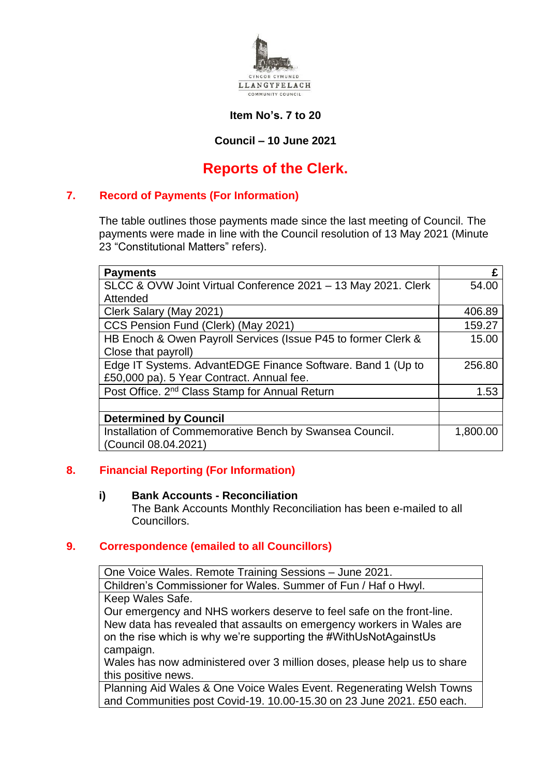

#### **Item No's. 7 to 20**

# **Council – 10 June 2021**

# **Reports of the Clerk.**

#### **7. Record of Payments (For Information)**

The table outlines those payments made since the last meeting of Council. The payments were made in line with the Council resolution of 13 May 2021 (Minute 23 "Constitutional Matters" refers).

| <b>Payments</b>                                               | £        |
|---------------------------------------------------------------|----------|
| SLCC & OVW Joint Virtual Conference 2021 - 13 May 2021. Clerk | 54.00    |
| Attended                                                      |          |
| Clerk Salary (May 2021)                                       | 406.89   |
| CCS Pension Fund (Clerk) (May 2021)                           | 159.27   |
| HB Enoch & Owen Payroll Services (Issue P45 to former Clerk & | 15.00    |
| Close that payroll)                                           |          |
| Edge IT Systems. AdvantEDGE Finance Software. Band 1 (Up to   | 256.80   |
| £50,000 pa). 5 Year Contract. Annual fee.                     |          |
| Post Office. 2 <sup>nd</sup> Class Stamp for Annual Return    | 1.53     |
|                                                               |          |
| <b>Determined by Council</b>                                  |          |
| Installation of Commemorative Bench by Swansea Council.       | 1,800.00 |
| (Council 08.04.2021)                                          |          |

#### **8. Financial Reporting (For Information)**

#### **i) Bank Accounts - Reconciliation**

The Bank Accounts Monthly Reconciliation has been e-mailed to all Councillors.

#### **9. Correspondence (emailed to all Councillors)**

One Voice Wales. Remote Training Sessions – June 2021. Children's Commissioner for Wales. Summer of Fun / Haf o Hwyl. Keep Wales Safe.

Our emergency and NHS workers deserve to feel safe on the front-line. New data has revealed that assaults on emergency workers in Wales are on the rise which is why we're supporting the #WithUsNotAgainstUs campaign.

Wales has now administered over 3 million doses, please help us to share this positive news.

Planning Aid Wales & One Voice Wales Event. Regenerating Welsh Towns and Communities post Covid-19. 10.00-15.30 on 23 June 2021. £50 each.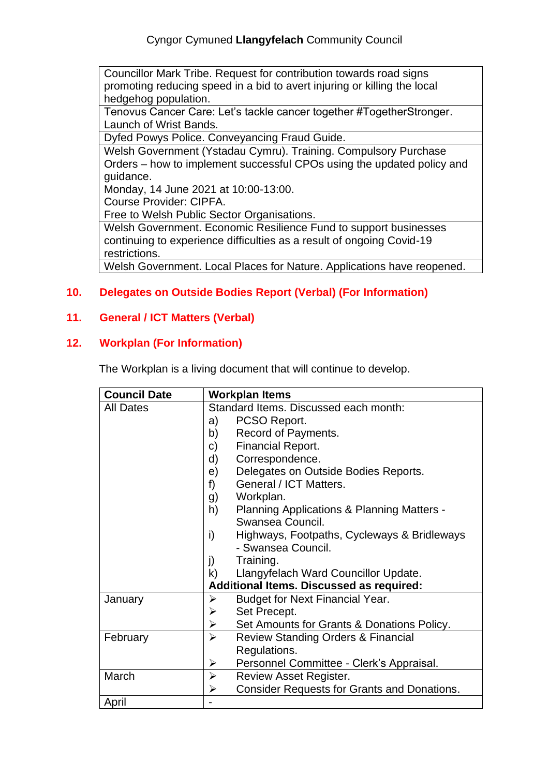Councillor Mark Tribe. Request for contribution towards road signs promoting reducing speed in a bid to avert injuring or killing the local hedgehog population.

Tenovus Cancer Care: Let's tackle cancer together #TogetherStronger. Launch of Wrist Bands.

Dyfed Powys Police. Conveyancing Fraud Guide.

Welsh Government (Ystadau Cymru). Training. Compulsory Purchase Orders – how to implement successful CPOs using the updated policy and guidance.

Monday, 14 June 2021 at 10:00-13:00.

Course Provider: CIPFA.

Free to Welsh Public Sector Organisations.

Welsh Government. Economic Resilience Fund to support businesses continuing to experience difficulties as a result of ongoing Covid-19 restrictions.

Welsh Government. Local Places for Nature. Applications have reopened.

# **10. Delegates on Outside Bodies Report (Verbal) (For Information)**

# **11. General / ICT Matters (Verbal)**

## **12. Workplan (For Information)**

The Workplan is a living document that will continue to develop.

| <b>Council Date</b> | <b>Workplan Items</b>                                                  |  |
|---------------------|------------------------------------------------------------------------|--|
| <b>All Dates</b>    | Standard Items. Discussed each month:                                  |  |
|                     | PCSO Report.<br>a)                                                     |  |
|                     | b)<br>Record of Payments.                                              |  |
|                     | Financial Report.<br>C)                                                |  |
|                     | Correspondence.<br>d)                                                  |  |
|                     | Delegates on Outside Bodies Reports.<br>e)                             |  |
|                     | General / ICT Matters.<br>f)                                           |  |
|                     | Workplan.<br>g)                                                        |  |
|                     | h)<br><b>Planning Applications &amp; Planning Matters -</b>            |  |
|                     | Swansea Council.                                                       |  |
|                     | i)<br>Highways, Footpaths, Cycleways & Bridleways                      |  |
|                     | - Swansea Council.                                                     |  |
|                     | Training.<br>j)                                                        |  |
|                     | k)<br>Llangyfelach Ward Councillor Update.                             |  |
|                     | <b>Additional Items. Discussed as required:</b>                        |  |
| January             | <b>Budget for Next Financial Year.</b><br>➤                            |  |
|                     | Set Precept.<br>➤                                                      |  |
|                     | $\blacktriangleright$<br>Set Amounts for Grants & Donations Policy.    |  |
| February            | $\blacktriangleright$<br><b>Review Standing Orders &amp; Financial</b> |  |
|                     | Regulations.                                                           |  |
|                     | Personnel Committee - Clerk's Appraisal.<br>➤                          |  |
| March               | ➤<br><b>Review Asset Register.</b>                                     |  |
|                     | <b>Consider Requests for Grants and Donations.</b><br>➤                |  |
| April               |                                                                        |  |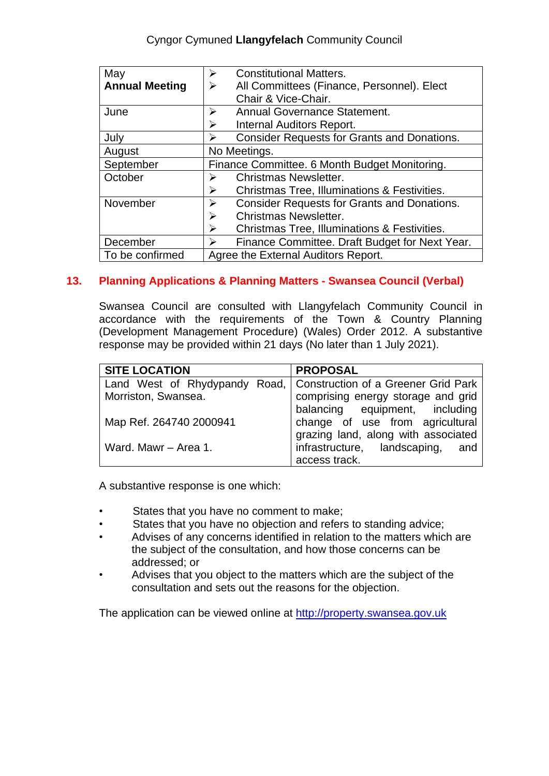# Cyngor Cymuned **Llangyfelach** Community Council

| May                   | <b>Constitutional Matters.</b><br>➤                                         |  |
|-----------------------|-----------------------------------------------------------------------------|--|
| <b>Annual Meeting</b> | All Committees (Finance, Personnel). Elect<br>➤                             |  |
|                       | Chair & Vice-Chair.                                                         |  |
| June                  | Annual Governance Statement.<br>➤                                           |  |
|                       | ➤<br>Internal Auditors Report.                                              |  |
| July                  | <b>Consider Requests for Grants and Donations.</b><br>≻                     |  |
| August                | No Meetings.                                                                |  |
| September             | Finance Committee. 6 Month Budget Monitoring.                               |  |
| October               | <b>Christmas Newsletter.</b><br>⋗                                           |  |
|                       | Christmas Tree, Illuminations & Festivities.<br>➤                           |  |
| November              | <b>Consider Requests for Grants and Donations.</b><br>$\blacktriangleright$ |  |
|                       | <b>Christmas Newsletter.</b><br>➤                                           |  |
|                       | ➤<br>Christmas Tree, Illuminations & Festivities.                           |  |
| December              | Finance Committee. Draft Budget for Next Year.<br>➤                         |  |
| To be confirmed       | Agree the External Auditors Report.                                         |  |

# **13. Planning Applications & Planning Matters - Swansea Council (Verbal)**

Swansea Council are consulted with Llangyfelach Community Council in accordance with the requirements of the Town & Country Planning (Development Management Procedure) (Wales) Order 2012. A substantive response may be provided within 21 days (No later than 1 July 2021).

| <b>SITE LOCATION</b>                                              | <b>PROPOSAL</b>                     |
|-------------------------------------------------------------------|-------------------------------------|
| Land West of Rhydypandy Road, Construction of a Greener Grid Park |                                     |
| Morriston, Swansea.                                               | comprising energy storage and grid  |
|                                                                   | balancing equipment, including      |
| Map Ref. 264740 2000941                                           | change of use from agricultural     |
|                                                                   | grazing land, along with associated |
| l Ward. Mawr – Area 1.                                            | infrastructure, landscaping, and    |
|                                                                   | access track.                       |

A substantive response is one which:

- States that you have no comment to make;
- States that you have no objection and refers to standing advice;
- Advises of any concerns identified in relation to the matters which are the subject of the consultation, and how those concerns can be addressed; or
- Advises that you object to the matters which are the subject of the consultation and sets out the reasons for the objection.

The application can be viewed online at [http://property.swansea.gov.uk](http://property.swansea.gov.uk/)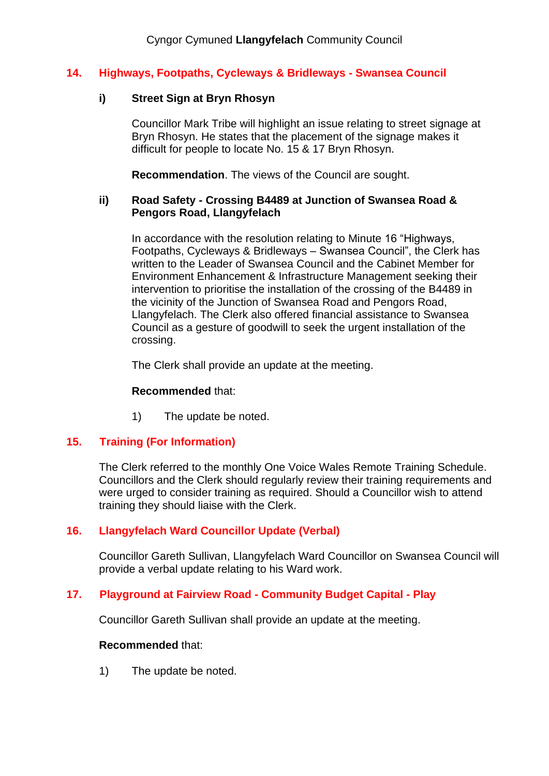## **14. Highways, Footpaths, Cycleways & Bridleways - Swansea Council**

#### **i) Street Sign at Bryn Rhosyn**

Councillor Mark Tribe will highlight an issue relating to street signage at Bryn Rhosyn. He states that the placement of the signage makes it difficult for people to locate No. 15 & 17 Bryn Rhosyn.

**Recommendation**. The views of the Council are sought.

## **ii) Road Safety - Crossing B4489 at Junction of Swansea Road & Pengors Road, Llangyfelach**

In accordance with the resolution relating to Minute 16 "Highways, Footpaths, Cycleways & Bridleways – Swansea Council", the Clerk has written to the Leader of Swansea Council and the Cabinet Member for Environment Enhancement & Infrastructure Management seeking their intervention to prioritise the installation of the crossing of the B4489 in the vicinity of the Junction of Swansea Road and Pengors Road, Llangyfelach. The Clerk also offered financial assistance to Swansea Council as a gesture of goodwill to seek the urgent installation of the crossing.

The Clerk shall provide an update at the meeting.

#### **Recommended** that:

1) The update be noted.

#### **15. Training (For Information)**

The Clerk referred to the monthly One Voice Wales Remote Training Schedule. Councillors and the Clerk should regularly review their training requirements and were urged to consider training as required. Should a Councillor wish to attend training they should liaise with the Clerk.

#### **16. Llangyfelach Ward Councillor Update (Verbal)**

Councillor Gareth Sullivan, Llangyfelach Ward Councillor on Swansea Council will provide a verbal update relating to his Ward work.

#### **17. Playground at Fairview Road - Community Budget Capital - Play**

Councillor Gareth Sullivan shall provide an update at the meeting.

#### **Recommended** that:

1) The update be noted.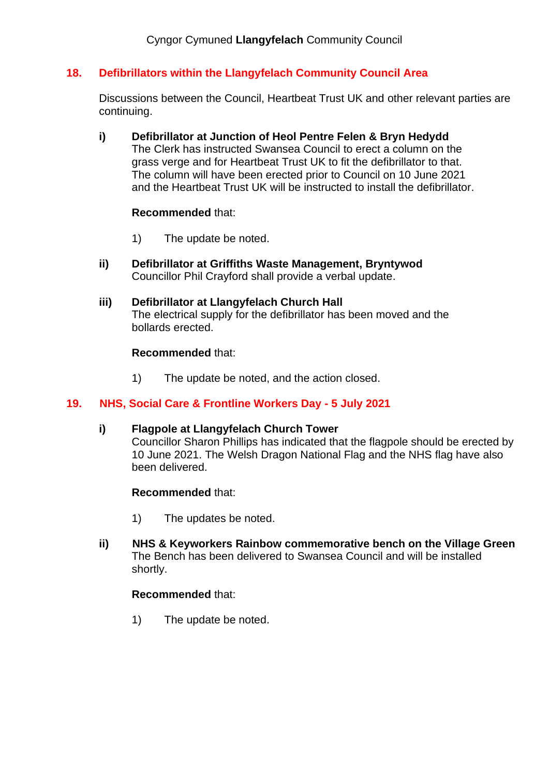# **18. Defibrillators within the Llangyfelach Community Council Area**

Discussions between the Council, Heartbeat Trust UK and other relevant parties are continuing.

**i) Defibrillator at Junction of Heol Pentre Felen & Bryn Hedydd** The Clerk has instructed Swansea Council to erect a column on the grass verge and for Heartbeat Trust UK to fit the defibrillator to that. The column will have been erected prior to Council on 10 June 2021 and the Heartbeat Trust UK will be instructed to install the defibrillator.

## **Recommended** that:

- 1) The update be noted.
- **ii) Defibrillator at Griffiths Waste Management, Bryntywod** Councillor Phil Crayford shall provide a verbal update.
- **iii) Defibrillator at Llangyfelach Church Hall** The electrical supply for the defibrillator has been moved and the bollards erected.

## **Recommended** that:

1) The update be noted, and the action closed.

# **19. NHS, Social Care & Frontline Workers Day - 5 July 2021**

#### **i) Flagpole at Llangyfelach Church Tower**

Councillor Sharon Phillips has indicated that the flagpole should be erected by 10 June 2021. The Welsh Dragon National Flag and the NHS flag have also been delivered.

# **Recommended** that:

- 1) The updates be noted.
- **ii) NHS & Keyworkers Rainbow commemorative bench on the Village Green** The Bench has been delivered to Swansea Council and will be installed shortly.

# **Recommended** that:

1) The update be noted.